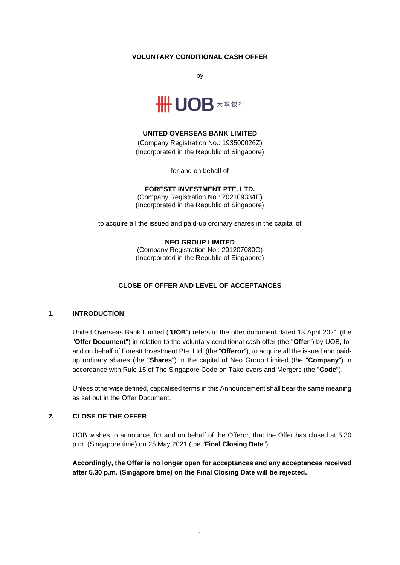### **VOLUNTARY CONDITIONAL CASH OFFER**

by



## **UNITED OVERSEAS BANK LIMITED**

(Company Registration No.: 193500026Z) (Incorporated in the Republic of Singapore)

for and on behalf of

#### **FORESTT INVESTMENT PTE. LTD.**

(Company Registration No.: 202109334E) (Incorporated in the Republic of Singapore)

to acquire all the issued and paid-up ordinary shares in the capital of

### **NEO GROUP LIMITED**

(Company Registration No.: 201207080G) (Incorporated in the Republic of Singapore)

#### **CLOSE OF OFFER AND LEVEL OF ACCEPTANCES**

### **1. INTRODUCTION**

United Overseas Bank Limited ("**UOB**") refers to the offer document dated 13 April 2021 (the "**Offer Document**") in relation to the voluntary conditional cash offer (the "**Offer**") by UOB, for and on behalf of Forestt Investment Pte. Ltd. (the "**Offeror**"), to acquire all the issued and paidup ordinary shares (the "**Shares**") in the capital of Neo Group Limited (the "**Company**") in accordance with Rule 15 of The Singapore Code on Take-overs and Mergers (the "**Code**").

Unless otherwise defined, capitalised terms in this Announcement shall bear the same meaning as set out in the Offer Document.

## **2. CLOSE OF THE OFFER**

UOB wishes to announce, for and on behalf of the Offeror, that the Offer has closed at 5.30 p.m. (Singapore time) on 25 May 2021 (the "**Final Closing Date**").

**Accordingly, the Offer is no longer open for acceptances and any acceptances received after 5.30 p.m. (Singapore time) on the Final Closing Date will be rejected.**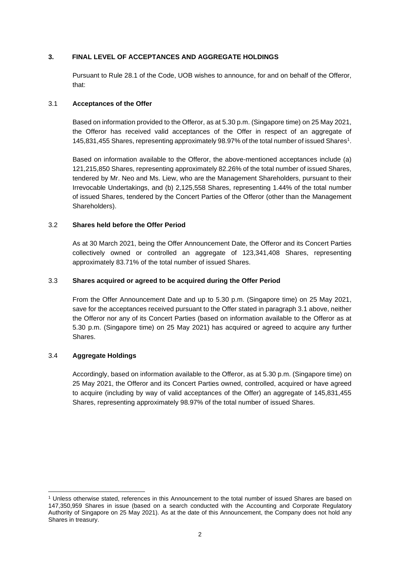# **3. FINAL LEVEL OF ACCEPTANCES AND AGGREGATE HOLDINGS**

Pursuant to Rule 28.1 of the Code, UOB wishes to announce, for and on behalf of the Offeror, that:

## 3.1 **Acceptances of the Offer**

Based on information provided to the Offeror, as at 5.30 p.m. (Singapore time) on 25 May 2021, the Offeror has received valid acceptances of the Offer in respect of an aggregate of 145,831,455 Shares, representing approximately 98.97% of the total number of issued Shares<sup>1</sup>.

Based on information available to the Offeror, the above-mentioned acceptances include (a) 121,215,850 Shares, representing approximately 82.26% of the total number of issued Shares, tendered by Mr. Neo and Ms. Liew, who are the Management Shareholders, pursuant to their Irrevocable Undertakings, and (b) 2,125,558 Shares, representing 1.44% of the total number of issued Shares, tendered by the Concert Parties of the Offeror (other than the Management Shareholders).

### 3.2 **Shares held before the Offer Period**

As at 30 March 2021, being the Offer Announcement Date, the Offeror and its Concert Parties collectively owned or controlled an aggregate of 123,341,408 Shares, representing approximately 83.71% of the total number of issued Shares.

## 3.3 **Shares acquired or agreed to be acquired during the Offer Period**

From the Offer Announcement Date and up to 5.30 p.m. (Singapore time) on 25 May 2021, save for the acceptances received pursuant to the Offer stated in paragraph 3.1 above, neither the Offeror nor any of its Concert Parties (based on information available to the Offeror as at 5.30 p.m. (Singapore time) on 25 May 2021) has acquired or agreed to acquire any further Shares.

## 3.4 **Aggregate Holdings**

Accordingly, based on information available to the Offeror, as at 5.30 p.m. (Singapore time) on 25 May 2021, the Offeror and its Concert Parties owned, controlled, acquired or have agreed to acquire (including by way of valid acceptances of the Offer) an aggregate of 145,831,455 Shares, representing approximately 98.97% of the total number of issued Shares.

<sup>1</sup> Unless otherwise stated, references in this Announcement to the total number of issued Shares are based on 147,350,959 Shares in issue (based on a search conducted with the Accounting and Corporate Regulatory Authority of Singapore on 25 May 2021). As at the date of this Announcement, the Company does not hold any Shares in treasury.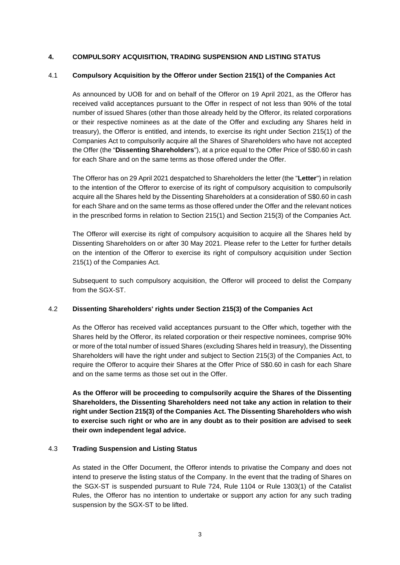# **4. COMPULSORY ACQUISITION, TRADING SUSPENSION AND LISTING STATUS**

## 4.1 **Compulsory Acquisition by the Offeror under Section 215(1) of the Companies Act**

As announced by UOB for and on behalf of the Offeror on 19 April 2021, as the Offeror has received valid acceptances pursuant to the Offer in respect of not less than 90% of the total number of issued Shares (other than those already held by the Offeror, its related corporations or their respective nominees as at the date of the Offer and excluding any Shares held in treasury), the Offeror is entitled, and intends, to exercise its right under Section 215(1) of the Companies Act to compulsorily acquire all the Shares of Shareholders who have not accepted the Offer (the "**Dissenting Shareholders**"), at a price equal to the Offer Price of S\$0.60 in cash for each Share and on the same terms as those offered under the Offer.

The Offeror has on 29 April 2021 despatched to Shareholders the letter (the "**Letter**") in relation to the intention of the Offeror to exercise of its right of compulsory acquisition to compulsorily acquire all the Shares held by the Dissenting Shareholders at a consideration of S\$0.60 in cash for each Share and on the same terms as those offered under the Offer and the relevant notices in the prescribed forms in relation to Section 215(1) and Section 215(3) of the Companies Act.

The Offeror will exercise its right of compulsory acquisition to acquire all the Shares held by Dissenting Shareholders on or after 30 May 2021. Please refer to the Letter for further details on the intention of the Offeror to exercise its right of compulsory acquisition under Section 215(1) of the Companies Act.

Subsequent to such compulsory acquisition, the Offeror will proceed to delist the Company from the SGX-ST.

## 4.2 **Dissenting Shareholders' rights under Section 215(3) of the Companies Act**

As the Offeror has received valid acceptances pursuant to the Offer which, together with the Shares held by the Offeror, its related corporation or their respective nominees, comprise 90% or more of the total number of issued Shares (excluding Shares held in treasury), the Dissenting Shareholders will have the right under and subject to Section 215(3) of the Companies Act, to require the Offeror to acquire their Shares at the Offer Price of S\$0.60 in cash for each Share and on the same terms as those set out in the Offer.

**As the Offeror will be proceeding to compulsorily acquire the Shares of the Dissenting Shareholders, the Dissenting Shareholders need not take any action in relation to their right under Section 215(3) of the Companies Act. The Dissenting Shareholders who wish to exercise such right or who are in any doubt as to their position are advised to seek their own independent legal advice.**

## 4.3 **Trading Suspension and Listing Status**

As stated in the Offer Document, the Offeror intends to privatise the Company and does not intend to preserve the listing status of the Company. In the event that the trading of Shares on the SGX-ST is suspended pursuant to Rule 724, Rule 1104 or Rule 1303(1) of the Catalist Rules, the Offeror has no intention to undertake or support any action for any such trading suspension by the SGX-ST to be lifted.